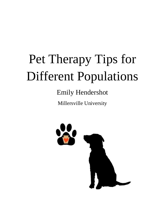# Pet Therapy Tips for Different Populations

# Emily Hendershot

Millersville University

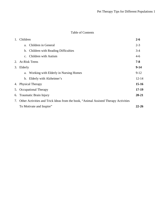# Table of Contents

| 1. | Children                                                                             | $2 - 6$   |
|----|--------------------------------------------------------------------------------------|-----------|
|    | Children in General<br>a.                                                            | $2 - 3$   |
|    | <b>Children with Reading Difficulties</b><br>b.                                      | $3-4$     |
|    | Children with Autism<br>C <sub>1</sub>                                               | $4 - 6$   |
| 2. | <b>At-Risk Teens</b>                                                                 | $7 - 8$   |
| 3. | Elderly                                                                              | $9-14$    |
|    | Working with Elderly in Nursing Homes<br>a.                                          | $9-12$    |
|    | Elderly with Alzheimer's<br>b.                                                       | $12 - 14$ |
|    | 4. Physical Therapy                                                                  | $15-16$   |
|    | 5. Occupational Therapy                                                              | $17-19$   |
|    | 6. Traumatic Brain Injury                                                            | $20 - 21$ |
| 7. | Other Activities and Trick Ideas from the book, "Animal Assisted Therapy Activities" |           |
|    | To Motivate and Inspire"                                                             | $22 - 26$ |
|    |                                                                                      |           |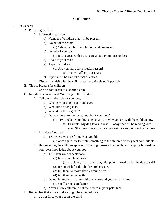#### **CHILDREN:**

# I. In General

- A. Preparing the Visit
	- 1. Information to know:
		- a) Number of children that will be present
		- b) Layout of the room
			- (1) Where is it best for children and dog to sit?
		- c) Length of your visit
			- (1) it is suggested that visits are about 45 minutes or less
		- d) Goals of your visit
		- e) Type of children
			- (1) Are you there for a special reason?
				- (a) this will affect your goals
		- f) If you must be careful of pet allergies
		- 2. Discuss the visit with the child's teacher beforehand if possible
- B. Tips to Prepare for children
	- 1. Use a 4 foot leash or a shorter leash
- C. Introduce Yourself and Your Dog to the Children
	- 1. Tell the children about your dog
		- a) What is your dog's name and age?
		- b) What kind of dog is it?
		- c) What does the dog like?
		- d) Do you have any funny stories about your dog?
			- (1) Try to relate your dog's personality to why you are with the children now
				- (a) Example: My dog loves to read! Today she will be reading with
					- you. She likes to read books about animals and look at the pictures
	- 2. Introduce Yourself
		- a) Tell where you are from, what you like
			- (1) once again, try to relate something to the children so they feel comfortable
	- 3. Before letting the children approach your dog, instruct them on how to approach based on your own knowledge about your dog
		- a) Tell them your expectations:
			- (1) how to safely approach
				- (a) ex: slowly, from the front, with palms turned up for the dog to sniff
			- (2) if you wish for the children to be seated
			- (3) tell them to move slowly around pets
			- (4) tell them to be gentle
		- b) Do not let more than a few children surround your pet at a time
			- (1) small groups are better
		- c) Never allow children to put their faces in your pet's face
- D. Remember that some children might be afraid of pets
	- 1. do not force your pet on the child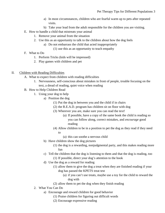- a) In most circumstances, children who are fearful warm up to pets after repeated visits.
- b) Take your lead from the adult responsible for the children you are visiting.
- E. How to handle a child that mistreats your animal
	- 1. Remove your animal from the situation
	- 2. Use this as an opportunity to talk to the children about how the dog feels
		- a) Do not embarrass the child that acted inappropriately
			- (1) use this as an opportunity to teach empathy
- F. What to Do
	- 1. Perform Tricks (kids will be impressed)
	- 2. Play games with children and pet
- II. Children with Reading Difficulties
	- A. What to expect from children with reading difficulties
		- 1. Nervousness, self-conscious about mistakes in front of people, trouble focusing on the text, a dread of reading, quiet voice when reading
	- B. How to Help Children Read
		- 1. Using your dog to help
			- a) Position the dog
				- (1) Put the dog in between you and the child if in chairs
				- (2) the R.E.A.D. program has children sit on floor with dog
				- (3) Wherever you are, make sure you can read the text!
					- (a) If possible, have a copy of the same book the child is reading so you can follow along, correct mistakes, and *encourage* good reading
				- (4) Allow children to be in a position to pet the dog as they read if they need to
					- (a) this can soothe a nervous child
			- b) Have children show the dog pictures
				- (1) the dog is a rewarding, nonjudgmental party, and this makes reading more fun
			- c) Tell the children that the dog is listening to them and that the dog is reading, too (1) If possible, direct your dog's attention to the book
			- d) Use the dog as a reward for reading
				- (1) allow them to give the dog a treat when they are finished reading if your dog has passed the KPETS treat test
					- (a) if you can't use treats, maybe use a toy for the child to reward the dog with
				- (2) allow them to pet the dog when they finish reading
		- 2. What You Can Do
			- a) Encourage and reward children for good behavior
				- (1) Praise children for figuring out difficult words
				- (2) Encourage expressive reading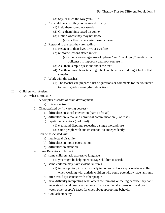- $(3)$  Say, "I liked the way you......."
- b) Aid children when they are having difficulty
	- (1) Help them sound out words
	- (2) Give them hints based on context
	- (3) Define words they may not know
		- (a) ask them what certain words mean
- c) Respond to the text they are reading
	- (1) Relate it to their lives or your own life
	- (2) reinforce lessons stated in text
		- (a) if book encourages use of "please" and "thank you," mention that politeness is important and how you use it
	- (3) Ask them simple questions about the text
	- (4) Ask them how characters might feel and how the child might feel in that situation
- d) Work with the teacher!!
	- (1) The teacher can prepare a list of questions or comments for the volunteer to use to guide meaningful interactions.

## III. Children with Autism

- A. What is Autism?
	- 1. A complex disorder of brain development
		- a) It is a spectrum!!
	- 2. Characterized by (in varying degrees)
		- a) difficulties in social interaction (part 1 of triad)
		- b) difficulties in verbal and nonverbal communication (2 of triad)
		- c) repetitive behaviors (3 of triad)
			- (1) e.g., hand-flapping, repeating a single word/phrase
			- (2) some people with autism cannot live independently
	- 3. Can be associated with
		- a) intellectual disability
		- b) difficulties in motor coordination
		- c) difficulties in attention
	- 4. Some Behaviors to Expect
		- a) some children lack expressive language
			- (1) you might be helping encourage children to speak
		- b) some children may have violent tantrums
			- (1) in my opinion, it is particularly important to have a quick-release collar when working with autistic children who could potentially have tantrums
		- c) often avoid eye contact with other people
		- d) have difficulty interpreting what others are thinking or feeling because they can't understand social cues, such as tone of voice or facial expressions, and don't watch other people's faces for clues about appropriate behavior
		- e) Can lack empathy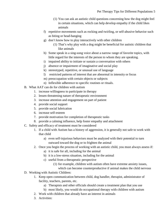- (1) You can ask an autistic child questions concerning how the dog might feel in certain situations, which can help develop empathy if the child likes animals
- f) repetitive movements such as rocking and twirling, or self-abusive behavior such as biting or head-banging
- g) don't know how to play interactively with other children
	- (1) That's why play with a dog might be beneficial for autistic children that like animals
- h) Some speak in a sing-song voice about a narrow range of favorite topics, with little regard for the interests of the person to whom they are speaking.
- i) impaired ability to initiate or sustain a conversation with others
- j) absence or impairment of imaginative and social play
- k) stereotyped, repetitive, or unusual use of language
- l) restricted patterns of interest that are abnormal in intensity or focus
- m) preoccupation with certain objects or subjects
- n) Inflexible adherence to specific routines or rituals.
- B. What AAT can do for children with autism
	- 1. increase willingness to participate in therapy
	- 2. lessen threatening nature of therapeutic environment
	- 3. increase attention and engagement on part of patient
	- 4. provide social support
	- 5. provide social lubrication
	- 6. increase self-esteem
	- 7. provide motivation for completion of therapeutic tasks
	- 8. provide a calming influence, help foster empathy and attachment
- C. Safety and efficacy of treatment must be considered
	- 1. If a child with Autism has a history of aggression, it is generally not safe to work with that child
		- a) even self-injurious behaviors must be analyzed with their potential to turn outward toward the dog or to frighten the animal
	- 2. Once you begin the process of working with an autistic child, you must always assess if:
		- a) it is safe for all, including for the animal
		- b) it is a low-stress situation, including for the animal
		- c) useful from a therapeutic perspective
			- (1) for example, children with autism often have extreme anxiety issues,

which can become counterproductive if animal makes the child nervous

- D. Working with Autistic Children:
	- 1. Keep open communication between child, dog handler, therapist, administrator of facility, teachers, parents, etc.
		- a) Therapists and other officials should create a treatment plan that you use
		- b) most likely, you would do occupational therapy with children with autism
	- 2. Work with children that already have an interest in animals
	- 3. Activities: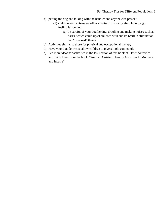- a) petting the dog and talking with the handler and anyone else present
	- (1) children with autism are often sensitive to sensory stimulation, e.g., feeling fur on dog
		- (a) be careful of your dog licking, drooling and making noises such as barks, which could upset children with autism (certain stimulation can "overload" them)
- b) Activities similar to those for physical and occupational therapy
- c) Have your dog do tricks; allow children to give simple commands
- d) See more ideas for activities in the last section of this booklet, Other Activities and Trick Ideas from the book, "Animal Assisted Therapy Activities to Motivate and Inspire"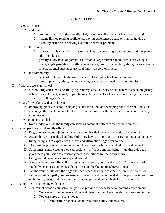## **AT-RISK TEENS:**

# I. Who is At-Risk?

- A. children
	- 1. are seen as at risk if they are disabled, have low self-esteem, or have been abused
	- 2. having limited reading proficiency, having experienced abuse or trauma, having a disability or illness, or having exhibited behavior problems
- B. the family
	- 1. is at-risk if it has family risk factors such as poverty, single parenthood, and low parental education levels
	- 2. poverty, a low level of parental education, a large number of children, not owning a home, single parenthood, welfare dependence, family dysfunction, abuse, parental mental illness, parental substance use, and family discord or illness.
- C. the community
	- 1. is at risk if it has a high crime rate and a low high school graduation rate
	- 2. rates of poverty, crime, unemployment, or teen parenthood in the community
- II. What are teens at risk of?
	- A. alcohol/drug abuse, violence(bullying, robbery, assault), risky sexual behaviors, teen pregnancy, dating abuse(physical, sexual, or psychological/emotional violence within a dating relationship, as well as stalking), suicide
- III. Goals for working with at-risk teens
	- A. improving grades in school, delaying sexual initiation, or developing conflict resolution skills
	- B. encourage the development of extracurricular activities/skills such as art, sports competence, volunteering
- IV. How volunteers can help:
	- A. Role models outside the family can serve as potential buffers for vulnerable children.
- V. What pet therapy inherently offers
	- A. Dogs, honest and non-judgmental, connect with kids in a way that adults often cannot
	- B. As youth learn basic dog handling skills they have an opportunity to care for and about another living being and to experience the love and affirmation dogs offer so freely.
	- C. They see the power of communication, of relationships built on mutual trust and respect.
	- D. Sometimes, simply seeing they can positively influence another being getting a dog to *sit* gives them permission to envision greater possibilities for their own future
	- E. Being with dogs reduces anxiety and arousal.
	- F. A teen who successfully walks a dog across the room, gets his dog to " sit" or master a trick, suddenly becomes a someone able to effect another being, to achieve, to teach
	- G. As the youth work with the dogs and each other they begin to create a new self-perception.
	- H. can help build empathy, self-esteem and the skills and behaviors that foster positive interactions with family, peers, and the community and help give them a fair shake at a better life
- VI. Your role in pet therapy with teens
	- A. You cannot act as a counselor, but you can provide the necessary welcoming environment
		- 1. You can encourage teens and make it clear that they have the ability to succeed in life
		- 2. You can serve as a role model
			- a) Demonstrate patience, good resolution skills, kindness, etc.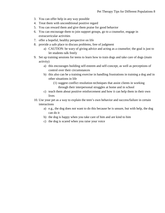- 3. You can offer help in any way possible
- 4. Treat them with unconditional positive regard
- 5. You can reward them and give them praise for good behavior
- 6. You can encourage them to join support groups, go to a counselor, engage in extracurricular activities
- 7. offer a hopeful, healthy perspective on life
- 8. provide a safe place to discuss problems, free of judgment
	- a) CAUTION: be wary of giving advice and acting as a counselor; the goal is just to let students talk freely
- 9. Set up training sessions for teens to learn how to train dogs and take care of dogs (main activity)
	- a) this encourages building self-esteem and self-concept, as well as perceptions of control over their circumstances
	- b) this also can be a training exercise in handling frustrations in training a dog and in other situations in life
		- (1) suggest conflict resolution techniques that assist clients in working through their interpersonal struggles at home and in school
	- c) teach them about positive reinforcement and how it can help them in their own lives
- 10. Use your pet as a way to explain the teen's own behavior and success/failure in certain interactions
	- a) e.g., the dog does not want to do this because he is unsure, but with help, the dog can do it
	- b) the dog is happy when you take care of him and are kind to him
	- c) the dog is scared when you raise your voice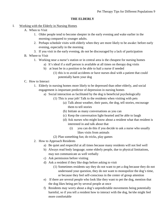#### **THE ELDERLY**

- I. Working with the Elderly in Nursing Homes
	- A. When to Visit
		- 1. Older people tend to become sleepier in the early evening and wake earlier in the morning compared to younger adults.
		- 2. Perhaps schedule visits with elderly when they are more likely to be awake: before early evening, especially in the morning
		- 3. If you visit in the early evening, do not be discouraged by a lack of participation
	- B. Where to Visit
		- 1. Working near a nurse's station or in central area is the cheapest for nursing homes
			- a) It's ideal if a staff person is available at all times on therapy dog visits
			- b) at least be in a position to be able to hail a nurse if needed
				- (1) this is to avoid accidents or have nurses deal with a patient that could potentially harm your dog
	- C. How to Interact
		- 1. Elderly in nursing homes more likely to be depressed than other elderly, and social engagement is important predictor of depression in nursing homes
			- a) Social interaction as facilitated by the dog is beneficial psychologically
				- (1) This is your job! Talk to the residents when visiting with pets
					- (a) Talk about weather, their pasts, the dog, tell stories, encourage them to tell stories
					- (b) Initiate as many conversations as you can
					- (c) Keep the conversation light-hearted and be able to laugh
					- (d) Ask nurses who might know about a resident what that resident is interested in and talk about that
						- (i) you can do this if you decide to ask a nurse who usually likes visits from animals
				- (2) Plan something fun; do tricks, play games
		- 2. How to Approach Residents
			- a) Be quiet and respectful at all times because many residents will not feel well
			- b) Always read body language; some elderly people, due to physical limitations, may not communicate as well verbally
			- c) Ask permission before visiting
			- d) Ask a resident if they like dogs before asking to visit
				- (1) Sometimes residents say they do not want to pet a dog because they do not understand your question, they do not want to monopolize the dog's time, or because they feel self-conscious in the center of group attention
			- e) If there are several people who look like they want to pet the dog, mention that the dog likes being pet by several people at once
			- f) Residents may worry about a dog's unpredictable movements being potentially harmful, so if you tell a resident how to interact with the dog, he/she might feel more comfortable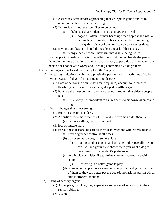- (1) Assure residents before approaching that your pet is gentle and calm; mention that he/she is a therapy dog
- (2) Tell residents how your pet likes to be petted
	- (a) it helps to ask a resident to pet a dog *under* its head
		- (i) dogs will often lift their heads up when approached with a petting hand from above because it can be intimidating (a) this raising of the head can discourage residents
- (3) If your dog likes to lick, tell the resident and ask if that is okay (a) Many elderly people I have run into dislike being licked
- g) For people in wheelchairs, it is often effective to put the dog beside the person facing in the same direction as the person. It is easy to pet a dog this way, and the person does not have to worry about feeling confronted by a dog's teeth
- 3. Interaction Suggestions Based on Elderly Health Changes
	- a) Increasing limitations in ability to physically perform normal activities of daily living because of physical impairments and disease
		- (1) Loss of neurons in brain (that aren't replaced) account for decreased flexibility, slowness of movement, stooped, shuffling gait
		- (2) Falls are the most common and most serious problem that elderly people face
			- (a) This is why it is important to ask residents to sit down when near a dog!
	- b) Bodily changes that affect strength
		- (1) Bone loss occurs in elderly
		- (2) Arthritis affects more than ⅓ of men and ½ of women older than 65
			- (a) causes swelling, pain, discomfort
		- (3) loss of muscle mass
		- (4) For all these reasons, be careful in your interactions with elderly people
			- (a) keep dog under control at all times
			- (b) do not set heavy dogs in seniors' laps
				- (i) Putting smaller dogs in a chair is helpful, especially if you can use hand gestures to show where you want a dog to face based on the resident's preference
			- (c) certain play activities like tug-of-war are not appropriate with seniors
				- (i) Retrieving is a better game to play
			- (d) Some older people have a stronger side: put your dog on that side of them so they can better pet the dog (do not ask the person which side is stronger, though!)
	- c) Aging of sensory organs
		- (1) As people grow older, they experience some loss of sensitivity in their sensory abilities
		- (2) Vision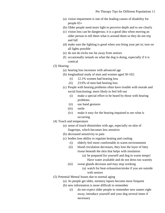- (a) vision impairment is one of the leading causes of disability for people 65+
- (b) Older people need more light to perceive depth and to see clearly
- (c) vision loss can be dangerous; it is a good idea when moving an older person to tell them what is around them so they do not trip and fall
- (d) make sure the lighting is good when you bring your pet in; turn on all lights possible
- (e) do not do tricks too far away from seniors
- (f) occasionally remark on what the dog is doing, especially if it is comical
- (3) Hearing
	- (a) hearing loss increases with advanced age
	- (b) longitudinal study of men and women aged 50-102:
		- (i) 12.1% women had hearing loss
		- (ii) 23.6% of men had hearing loss
	- (c) People with hearing problems often have trouble with morale and social functioning; more likely to feel left-out
		- (i) make a special effort to be heard by those with hearing problems
		- (ii) use hand gestures
		- (iii) smile
		- (iv) make it easy for the hearing impaired to see what is occurring
- (4) Touch and temperature
	- (a) sense of touch diminishes with age, especially on skin of fingertips, which becomes less sensitive
	- (b) decreased sensitivity to pain
	- (c) bodies lose ability to regulate heating and cooling
		- (i) elderly feel more comfortable in warm environments
		- (ii) blood circulation decreases, they lose the layer of fatty tissue beneath the skin that helps with insulation
			- (a) be prepared for yourself and dog in warm temps! Have water available and do not dress too warmly
		- (iii) sweat glands decrease and may stop working
			- (a) watch for heat exhaustion/stroke if you are outside with seniors
- (5) Potential Mental Issues due to normal aging
	- (a) As people get older, memory lapses become more frequent
	- (b) new information is more difficult to remember
		- (i) do not expect older people to remember new names right away; introduce yourself and your dog several times if necessary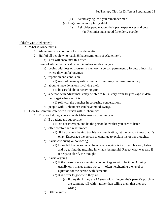- (ii) Avoid saying, "do you remember me?"
- (c) long-term memory fairly stable
	- (i) Ask older people about their past experiences and pets
		- (a) Reminiscing is good for elderly people

## II. Elderly with Alzheimer's

- A. What is Alzheimer's?
	- 1. Alzheimer's is a common form of dementia
	- 2. Half of all people who reach 85 have symptoms of Alzheimer's
		- a) You will encounter this often!
	- 3. onset of Alzheimer's is slow and involves subtle changes
		- a) begins with loss of short-term memory; a person permanently forgets things like where they put belongings
		- b) repetition and confusion
			- (1) may ask same question over and over, may confuse time of day
		- c) about ⅓ have delusions involving theft
			- (1) be careful about receiving gifts
		- d) a person with Alzheimer's may be able to tell a story from 40 years ago in detail but forget what year it is
			- (1) roll with the punches in confusing conversations
		- e) people with Alzheimer's can have mood swings
- B. How to Communicate with a Person with Alzheimer's
	- 1. Tips for helping a person with Alzheimer's communicate:
		- a) Be patient and supportive
			- (1) do not interrupt, and let the person know that you care to listen
		- b) offer comfort and reassurance
			- (1) If he or she is having trouble communicating, let the person know that it's okay. Encourage the person to continue to explain his or her thoughts.
		- c) Avoid criticizing or correcting
			- (1) Don't tell the person what he or she is saying is incorrect. Instead, listen and try to find the meaning in what is being said. Repeat what was said if it helps to clarify the thought.
		- d) Avoid arguing
			- (1) If the person says something you don't agree with, let it be. Arguing usually only makes things worse — often heightening the level of agitation for the person with dementia.
			- (2) It is better to go where they are
				- (a) If they think they are 12 years old sitting on their parent's porch in the summer, roll with it rather than telling them that they are wrong
		- e) Offer a guess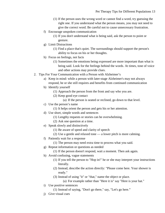- (1) If the person uses the wrong word or cannot find a word, try guessing the right one. If you understand what the person means, you may not need to give the correct word. Be careful not to cause unnecessary frustration.
- f) Encourage unspoken communication
	- (1) If you don't understand what is being said, ask the person to point or gesture.
- g) Limit Distractions
	- (1) Find a place that's quiet. The surroundings should support the person's ability to focus on his or her thoughts.
- h) Focus on feelings, not facts
	- (1) Sometimes the emotions being expressed are more important than what is being said. Look for the feelings behind the words. At times, tone of voice and other actions may provide clues.
- 2. Tips For Your Communication with a Person with Alzheimer's
	- a) Keep in mind: while a person with later-stage Alzheimer's may not always respond, he or she still requires and benefits from continued communication
	- b) Identify yourself
		- (1) Approach the person from the front and say who you are.
		- (2) Keep good eye contact
			- (a) If the person is seated or reclined, go down to that level.
	- c) Use the person's name
		- (1) It helps orient the person and gets his or her attention.
	- d) Use short, simple words and sentences
		- (1) Lengthy requests or stories can be overwhelming.
		- (2) Ask one question at a time.
	- e) Speak slowly and distinctively
		- (1) Be aware of speed and clarity of speech
		- (2) Use a gentle and relaxed tone a lower pitch is more calming.
	- f) Patiently wait for a response
		- (1) The person may need extra time to process what you said.
	- g) Repeat information or questions as needed
		- (1) If the person doesn't respond, wait a moment. Then ask again.
	- h) Avoid confusing, vague statements
		- (1) If you tell the person to "Hop in!" he or she may interpret your instructions literally.
		- (2) Instead, describe the action directly: "Please come here. Your shower is ready."
		- (3) Instead of using "it" or "that," name the object or place.

(a) For example rather than "Here it is" say "Here is your hat."

- i) Use positive sentences
	- (1) Instead of saying, "Don't go there," say, "Let's go here."
- j) Give visual cues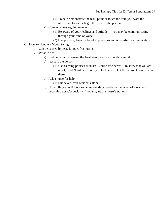- (1) To help demonstrate the task, point or touch the item you want the individual to use or begin the task for the person.
- k) Convey an easy-going manner
	- (1) Be aware of your feelings and attitude you may be communicating through your tone of voice.
	- (2) Use positive, friendly facial expressions and nonverbal communication.
- C. How to Handle a Mood Swing
	- 1. Can be caused by fear, fatigue, frustration
	- 2. What to do:
		- a) find out what is causing the frustration, and try to understand it
		- b) reassure the person
			- (1) Use calming phrases such as: "You're safe here;" "I'm sorry that you are upset;" and "I will stay until you feel better." Let the person know you are there.
		- c) Ask a nurse for help
			- (1) But never leave residents alone!
		- d) Hopefully you will have someone standing nearby in the event of a resident becoming upset(especially if you stay near a nurse's station)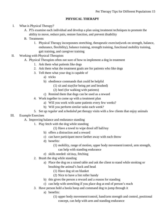## **PHYSICAL THERAPY**

- I. What is Physical Therapy?
	- A. PTs examine each individual and develop a plan using treatment techniques to promote the ability to move, reduce pain, restore function, and prevent disability
	- B. Treatments
		- 1. Physical Therapy incorporates stretching, therapeutic exercise(work on strength, balance, endurance, flexibility), balance training, strength training, functional mobility training, gait training, and caregiver training
- II. Working with Physical Therapists
	- A. Physical Therapists often not sure of how to implement a dog in treatment
		- 1. Ask them what patients like dogs
		- 2. Ask them what the treatment goals are for patients who like dogs
		- 3. Tell them what your dog is capable of
			- a) tricks
			- b) obedience commands that could be helpful
				- (1) sit and stay(for being pet and brushed)
				- (2) heel (for walking with patients)
			- c) Remind them that dogs can be used as a reward
		- 4. Work together to come up with a treatment plan
			- a) Will you work with same patients every few weeks?
			- b) Will you perform similar tasks each week?
		- 5. Set up *regular* and *scheduled* pet therapy visits with a few clients that enjoy animals

## III. Example Exercises

- A. Improving balance and endurance standing
	- 1. Play fetch with the dog while standing
		- (1) Have a towel to wipe drool off ball/toy
		- b) offers a distraction and a reward
		- c) can have participant move farther away with each throw
		- d) benefits:
			- (1) mobility, range of motion, upper body movement/control, arm strength, can help with standing endurance
		- e) skills needed: sit/stay, fetching
	- 2. Brush the dog while standing
		- a) Place the dog on a raised table and ask the client to stand while stroking or brushing the animal's back and head
			- (1) Have dog sit on blanket
			- (2) Nice to have a lint roller handy
		- b) this gives the person a reward and a reason for standing
		- c) can help with stretching if you place dog at end of person's reach
	- 3. Have person hold a hoola hoop and command dog to jump through it
		- a) benefits:
			- (1) upper body movement/control, hand/arm strength and control, positional concept, can help with arm and standing endurance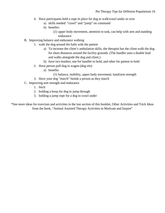- 4. Have participants hold a rope in place for dog to walk/crawl under or over
	- a) skills needed: "crawl" and "jump" on command
	- b) benefits:
		- (1) upper body movement, attention to task, can help with arm and standing endurance
- B. Improving balance and endurance walking
	- 1. walk the dog around the halls with the patient
		- a) To increase the client's ambulation skills, the therapist has the client walk the dog for short distances around the facility grounds. (The handler uses a double lead and walks alongside the dog and client.)
		- b) have two leashes; one for handler to hold, and other for patient to hold
	- 2. Have person pull dog in wagon (dog sits)
		- a) benefits
			- (1) balance, mobility, upper body movement, hand/arm strength
	- 3. Have your dog "march" beside a person as they march
- C. Improving arm strength and endurance
	- 1. fetch
	- 2. holding a hoop for dog to jump through
	- 3. holding a jump rope for a dog to crawl under

\*See more ideas for exercises and activities in the last section of this booklet, Other Activities and Trick Ideas from the book, "Animal Assisted Therapy Activities to Motivate and Inspire"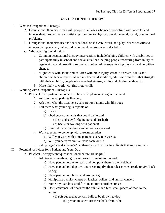### **OCCUPATIONAL THERAPY**

- I. What is Occupational Therapy?
	- A. Occupational therapists work with people of all ages who need specialized assistance to lead independent, productive, and satisfying lives due to physical, developmental, social, or emotional problems.
	- B. Occupational therapists use the "occupations" of self-care, work, and play/leisure activities to increase independence, enhance development, and/or prevent disability.
	- C. Who you might work with:
		- 1. Common occupational therapy interventions include helping children with disabilities to participate fully in school and social situations, helping people recovering from injury to regain skills, and providing supports for older adults experiencing physical and cognitive changes
		- 2. Might work with adults and children with brain injury, chronic diseases, adults and children with developmental and intellectual disabilities, adults and children that struggle with their mobility, people who have had strokes, adults and children with autism
		- 3. More likely to work with fine motor skills
- II. Working with Occupational Therapists
	- A. Physical Therapists often not sure of how to implement a dog in treatment
		- 1. Ask them what patients like dogs
		- 2. Ask them what the treatment goals are for patients who like dogs
		- 3. Tell them what your dog is capable of
			- a) tricks
			- b) obedience commands that could be helpful
				- (1) sit and stay(for being pet and brushed)
				- (2) heel (for walking with patients)
			- c) Remind them that dogs can be used as a reward
		- 4. Work together to come up with a treatment plan
			- a) Will you work with same patients every few weeks?
			- b) Will you perform similar tasks each week?
		- 5. Set up *regular* and *scheduled* pet therapy visits with a few clients that enjoy animals
- III. Potential Activities for a Patient and Your Dog
	- A. Physical Therapy techniques mentioned before are helpful
		- 1. Additional strength and grip exercises for fine motor control:
			- a) Have person hold onto leash and dog pulls them in a wheelchair
			- b) Have person hold dog toys and treats tightly, then release when ready to give back to dog
			- c) Have person hold brush and groom dog
			- d) Manipulate buckles, clasps on leashes, collars, and animal carriers
			- e) Some toys can be useful for fine motor control exercises
			- f) Open containers of treats for the animal and feed small pieces of food to the animal
				- (1) soft cubes that contain balls to be thrown to dog
					- (a) person must extract these balls from cube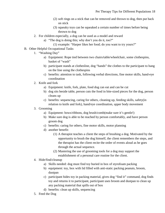- (2) soft rings on a stick that can be removed and thrown to dog, then put back on stick
- (3) squeaky toys can be squeaked a certain number of times before being thrown to dog
- 2. For children especially, a dog can be used as a model and reward
	- a) "The dog is doing this; why don't you do it, too?"
		- (1) example: "Harper likes her food; do you want to try yours?"
- B. Other Helpful Occupational Tasks
	- 1. "Washing Day"
		- a) Equipment: Rope tied between two chairs/table/wheelchair, some clothespins, basket of "wash"
		- b) participant stands at clothesline, dog "hands" the clothes to the participant to hang on the line using the clothespins
		- c) benefits: attention to task, following verbal directions, fine motor skills, hand-eye coordination
	- 2. Knife and fork
		- a) Equipment: knife, fork, plate, food dog can eat and can be cut
		- b) dog sits beside table, person cuts the food in bite-sized pieces for the dog, person cleans up
		- c) benefits: sequencing, caring for others, cleaning up, feeding skills, safety(in relation to knife and fork), hand/eye coordination, upper body movement
	- 3. Grooming
		- a) Equipment: bows/ribbons, dog brush/comb(make sure it's gentle!)
		- b) Make sure dog is able to be reached by person comfortably, and have person groom dog
		- c) benefits: caring for others, fine motor skills, motor planning
		- d) another benefit:
			- (1) A therapist teaches a client the steps of brushing a dog. Motivated by the opportunity to brush the dog himself, the client remembers the steps, and the therapist has the client recite the order of events aloud as he goes through the actual sequence.
			- (2) Mastering the use of grooming tools for a dog may support the establishment of a personal care routine for the client.
	- 4. Hide/find/cleanup
		- a) Skills needed: dog must find toy buried in box of styrofoam packing
		- b) equipment: toy, box with lid filled with anti-static packing peanuts, broom, dustpan
		- c) participant hides toy in packing material, gives dog "find it" command, dog finds toy and returns it to participant, participant uses broom and dustpan to clean up any packing material that spills out of box
		- d) benefits: clean up skills, sequencing
	- 5. Feed the Dog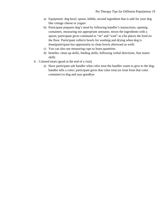- a) Equipment: dog bowl, spoon, kibble, second ingredient that is safe for your dog like cottage cheese or yogurt
- b) Participant prepares dog's meal by following handler's instructions, opening containers, measuring out appropriate amounts; mixes the ingredients with a spoon; participant gives command to "sit" and "wait" as s/he places the food on the floor. Participant collects bowls for washing and drying when dog is done(participant has opportunity to clean bowls afterward as well)
- c) You can also use measuring cups to learn quantities
- d) benefits: clean up skills, feeding skills, following verbal directions, fine motor skills
- 6. Colored treats (good at the end of a visit)
	- a) Have participant ask handler what color treat the handler wants to give to the dog; handler tells a color; participant gives that color treat (or treat from that color container) to dog and says goodbye.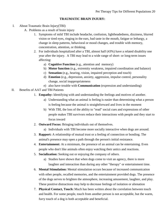#### **TRAUMATIC BRAIN INJURY:**

- I. About Traumatic Brain Injury(TBI)
	- A. Problems as a result of brain injury
		- 1. Symptoms of mild TBI include headache, confusion, lightheadedness, dizziness, blurred vision or tired eyes, ringing in the ears, bad taste in the mouth, fatigue or lethargy, a change in sleep patterns, behavioral or mood changes, and trouble with memory, concentration, attention, or thinking.
		- 2. For individuals hospitalized after a TBI, almost half (43%) have a related disability one year after the injury. A TBI may lead to a wide range of short- or long-term issues affecting:
			- a) **Cognitive Function** (e.g., attention and memory)
			- b) **Motor function** (e.g., extremity weakness, impaired coordination and balance)
			- c) **Sensation** (e.g., hearing, vision, impaired perception and touch)
			- d) **Emotion** (e.g., depression, anxiety, aggression, impulse control, personality change, social inappropriateness
			- e) also have trouble with **Communication** (expression and understanding)
- II. Benefits of AAT and TBI Patients
	- 1. **Empathy:** Identifying with and understanding the feelings and motives of another.
		- a) Understanding what an animal is feeling is easier than determining what a person is feeling because the animal is straightforward and lives in the moment
		- b) With TBI, the loss of the ability to "read" social cues and expressions of other people makes TBI survivors reduce their interactions with people and they start to focus inward
	- 2. **Outward Focus:** Bringing individuals out of themselves.
		- a) Individuals with TBI become more socially interactive when dogs are around.
	- 3. **Rapport:** A relationship of mutual trust or a feeling of connection or bonding. The animal's presence may open a path through the person's initial resistance.
	- 4. **Entertainment:** At a minimum, the presence of an animal can be entertaining. Even people who don't like animals often enjoy watching their antics and reactions.
	- 5. **Socialization:** Seeking out or enjoying the company of others.
		- a) Studies have shown that when dogs come to visit an agency, there is more laughter and interaction than during any other "therapy" or entertainment time.
	- 6. **Mental Stimulation:** Mental stimulation occurs because of increased communication with other people, recalled memories, and the entertainment provided dogs. The presence of the dogs serves to brighten the atmosphere, increasing amusement, laughter, and play. These positive distractions may help to decrease feelings of isolation or alienation
	- 7. **Physical Contact, Touch:** Much has been written about the correlation between touch and health. For some people, touch from another person is not acceptable, but the warm, furry touch of a dog is both acceptable and beneficial.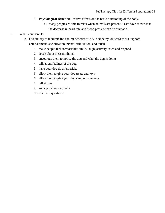- 8. **Physiological Benefits:** Positive effects on the basic functioning of the body.
	- a) Many people are able to relax when animals are present. Tests have shown that the decrease in heart rate and blood pressure can be dramatic.

## III. What You Can Do:

A. Overall, try to facilitate the natural benefits of AAT: empathy, outward focus, rapport, entertainment, socialization, mental stimulation, and touch

- 1. make people feel comfortable: smile, laugh, actively listen and respond
- 2. speak about pleasant things
- 3. encourage them to notice the dog and what the dog is doing
- 4. talk about feelings of the dog
- 5. have your dog do a few tricks
- 6. allow them to give your dog treats and toys
- 7. allow them to give your dog simple commands
- 8. tell stories
- 9. engage patients actively
- 10. ask them questions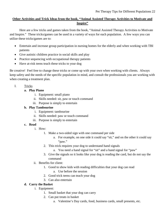# **Other Activities and Trick Ideas from the book, "Animal Assisted Therapy Activities to Motivate and Inspire"**

Here are a few tricks and games taken from the book, "Animal Assisted Therapy Activities to Motivate and Inspire." These tricks/games can be used in a variety of ways for each population. A few ways you can utilize these tricks/games are to:

- Entertain and increase group participation in nursing homes for the elderly and when working with TBI patients
- Give autistic children practice in social skills and play
- Practice sequencing with occupational therapy patients
- Have at-risk teens teach these tricks to your dog

Be creative! Feel free to change these tricks or come up with your own when working with clients. Always keep safety and the needs of the specific population in mind, and consult the professionals you are working with when creating a treatment plan.

I. Tricks

## **a. Play Piano**

- i. Equipment: small piano
- ii. Skills needed: sit, paw or touch command
- iii. Purpose is simply to entertain

# **b. Play Tambourine**

- i. Equipment: tambourine
- ii. Skills needed: paw or touch command
- iii. Purpose is simply to entertain

## **c. Read**

- i. How:
	- 1. Make a two-sided sign with one command per side
		- a. For example, on one side it could say "sit," and on the other it could say "paw."
	- 2. This trick requires your dog to understand hand signals
		- a. You need a hand signal for "sit" and a hand signal for "paw"
	- 3. Give the signals so it looks like your dog is reading the card, but do not say the command
- ii. Benefits for client:
	- 1. Good to show kids with reading difficulties that your dog can read
		- a. Use before the session
	- 2. Good trick teens can teach your dog
	- 3. Can also entertain

# **d. Carry the Basket**

- i. Equipment:
	- 1. Small basket that your dog can carry
	- 2. Can put treats in basket
		- a. Valentine's Day cards, food, business cards, small presents, etc.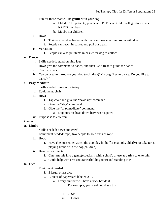- ii. Fun for those that will be **gentle** with your dog
	- a. Elderly, TBI patients, people at KPETS events like college students or KPETS members
	- b. Maybe not children
- iii. How:
	- 1. Trainer gives dog basket with treats and walks around room with dog
	- 2. People can reach in basket and pull out treats
- iv. Variation:
	- 1. People can also put items in basket for dog to collect
- **e. Dance**
	- i. Skills needed: stand on hind legs
	- ii. How: give the command to dance, and then use a treat to guide the dance
	- iii. Can use music
	- iv. Can be used to introduce your dog to children("My dog likes to dance. Do you like to dance?")

#### f. **Pray/Meditate**

- i. Skills needed: paws up, sit/stay
- ii. Equipment: chair
- iii. How:
	- 1. Tap chair and give the "paws up" command
	- 2. Give the "stay" command
	- 3. Give the "pray/meditate" command
		- a. Dog puts his head down between his paws
- iv. Purpose is to entertain

#### II. Games

#### **a. Limbo**

- i. Skills needed: down and crawl
- ii. Equipment needed: rope, two people to hold ends of rope
- iii. How:
	- 1. Have client(s) either watch the dog play limbo(for example, elderly), or take turns playing limbo with the dog(children)
- iv. Benefits for clients
	- 1. Can turn this into a game(especially with a child), or use as a trick to entertain
	- 2. Could help with arm endurance(holding rope) and standing in PT

#### **b. Dice**

- i. Equipment needed:
	- 1. 2 large, plush dice
	- 2. A piece of paper/card labeled 2-12
		- a. Every number will have a trick beside it
			- i. For example, your card could say this:
			- ii. 2. Sit
			- iii. 3. Down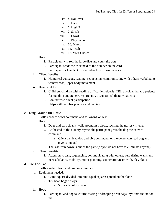- iv. 4. Roll over
- v. 5. Dance
- vi. 6. High 5
- vii. 7. Speak
- viii. 8. Crawl
- ix. 9. Play piano
- x. 10. March
- xi. 11. Fetch
- xii. 12. Your Choice
- ii. How:
	- 1. Participant will roll the large dice and count the dots
	- 2. Participant reads the trick next to the number on the card.
	- 3. Participant(or handler) instructs dog to perform the trick.
- iii. Client Benefits
	- 1. Numerical concepts, reading, sequencing, communicating with others, verbalizing wants/needs, upper body movement
- iv. Beneficial for:
	- 1. Children, children with reading difficulties, elderly, TBI, physical therapy patients for standing endurance/arm strength, occupational therapy patients
	- 2. Can increase client participation
	- 3. Helps with number practice and reading

#### **c. Ring Around the Rosie**

- i. Skills needed: down command and following on lead
- ii. How:
	- 1. Dogs and participants walk around in a circle, reciting the nursery rhyme.
	- 2. At the end of the nursery rhyme, the participant gives the dog the "down" command.
		- a. Client can lead dog and give command, or the owner can lead dog and give command
	- 3. The last team down is out of the game(or you do not have to eliminate anyone)
- iii. Client Benefits:
	- 1. Attention to task, sequencing, communicating with others, verbalizing wants and needs, balance, mobility, motor planning, cooperation/teamwork, play skills

#### d. **Tic-Tac-Toe**

- i. Skills needed: fetch and drop on command
- ii. Equipment needed:
	- 1. Game square divided into nine equal squares spread on the floor
	- 2. Ten bean bags or toys

a. 5 of each color/shape

- iii. How:
	- 1. Participant and dog take turns tossing or dropping bean bags/toys onto tic-tac-toe mat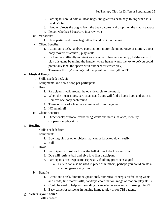- 2. Participant should hold all bean bags, and give/toss bean bags to dog when it is the dog's turn
- 3. Handler directs the dog to fetch the bean bag/toy and drop it on the mat in a space
- 4. Person who has 3 bags/toys in a row wins
- iv. Variations:
	- 1. Have participant throw bag rather than drop it on the mat
- v. Client Benefits:
	- 1. Attention to task, hand/eye coordination, motor planning, range of motion, upper body movement/control, play skills
	- 2. If client has difficulty moving(for example, if he/she is elderly), he/she can still play this game by telling the handler where he/she wants the toy to go(you could potentially label the spaces with numbers for easier play)
	- 3. Throwing the toy/beanbag could help with arm strength in PT

# e. **Musical Hoops**

- i. Skills needed: heel, sit
- ii. Equipment: One hoola hoop per participant
- iii. How:
	- 1. Participants walk around the outside circle to the music
	- 2. When the music stops, participants and dogs will find a hoola hoop and sit in it
	- 3. Remove one hoop each round
	- 4. Those outside of a hoop are eliminated from the game
	- 5. NO running!!
- iv. Client Benefits:
	- 1. Directional/positional, verbalizing wants and needs, balance, mobility, cooperation, play skills

# f. **Bowling**

- i. Skills needed: fetch
- ii. Equipment:
	- 1. Bowling pins or other objects that can be knocked down easily
	- 2. Ball
- iii. How:
	- 1. Participant will roll or throw the ball at pins to be knocked down
	- 2. Dog will retrieve ball and give it to first participant
	- 3. Participants can keep score, especially if adding practice is a goal
		- a. Letters can also be used in place of numbers; perhaps you could create a spelling game using pins!
- iv. Benefits:
	- 1. Attention to task, directional/positional, numerical concepts, verbalizing wants and needs, fine motor skills, hand/eye coordination, range of motion, play skills
	- 2. Could be used to help with standing balance/endurance and arm strength in PT
	- 3. Easy game for residents in nursing home to play or for TBI patients
- g. **Where's your bone?**
	- i. Skills needed: